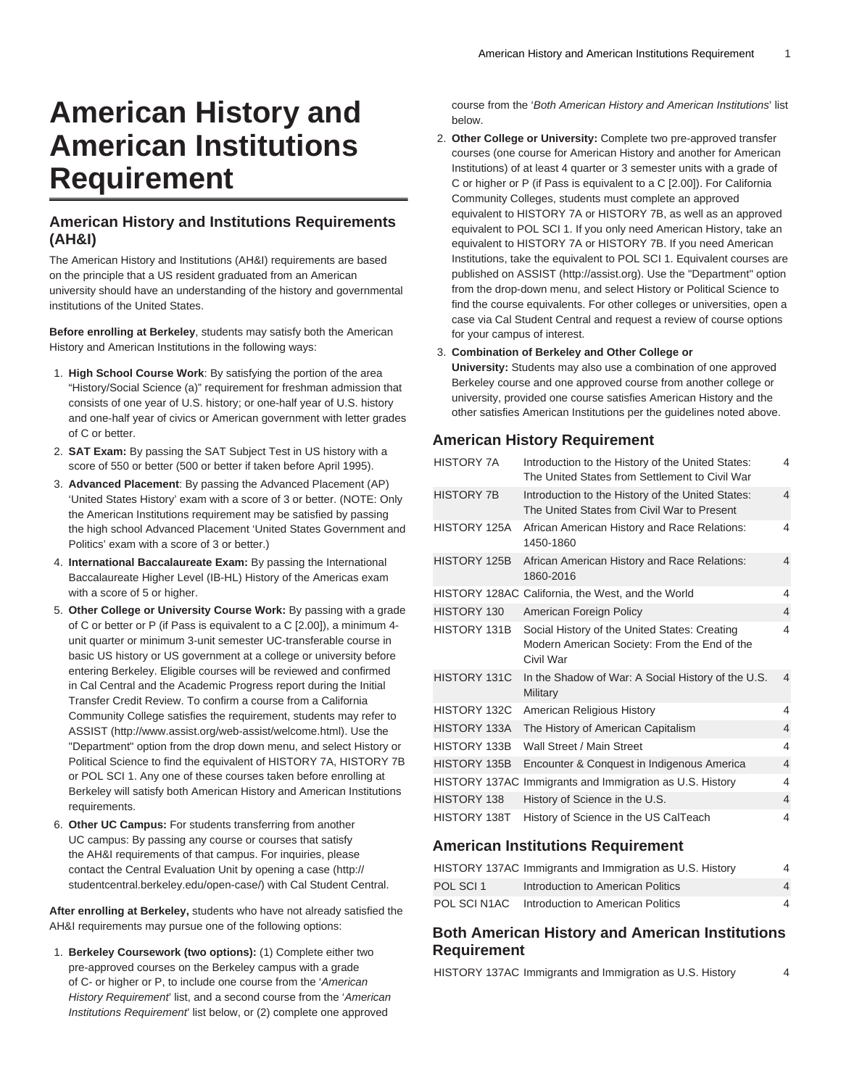# **American History and American Institutions Requirement**

## **American History and Institutions Requirements (AH&I)**

The American History and Institutions (AH&I) requirements are based on the principle that a US resident graduated from an American university should have an understanding of the history and governmental institutions of the United States.

**Before enrolling at Berkeley**, students may satisfy both the American History and American Institutions in the following ways:

- 1. **High School Course Work**: By satisfying the portion of the area "History/Social Science (a)" requirement for freshman admission that consists of one year of U.S. history; or one-half year of U.S. history and one-half year of civics or American government with letter grades of C or better.
- 2. **SAT Exam:** By passing the SAT Subject Test in US history with a score of 550 or better (500 or better if taken before April 1995).
- 3. **Advanced Placement**: By passing the Advanced Placement (AP) 'United States History' exam with a score of 3 or better. (NOTE: Only the American Institutions requirement may be satisfied by passing the high school Advanced Placement 'United States Government and Politics' exam with a score of 3 or better.)
- 4. **International Baccalaureate Exam:** By passing the International Baccalaureate Higher Level (IB-HL) History of the Americas exam with a score of 5 or higher.
- 5. **Other College or University Course Work:** By passing with a grade of C or better or P (if Pass is equivalent to a C [2.00]), a minimum 4 unit quarter or minimum 3-unit semester UC-transferable course in basic US history or US government at a college or university before entering Berkeley. Eligible courses will be reviewed and confirmed in Cal Central and the Academic Progress report during the Initial Transfer Credit Review. To confirm a course from a California Community College satisfies the requirement, students may refer to [ASSIST](http://www.assist.org/web-assist/welcome.html) [\(http://www.assist.org/web-assist/welcome.html](http://www.assist.org/web-assist/welcome.html)). Use the "Department" option from the drop down menu, and select History or Political Science to find the equivalent of HISTORY 7A, HISTORY 7B or POL SCI 1. Any one of these courses taken before enrolling at Berkeley will satisfy both American History and American Institutions requirements.
- 6. **Other UC Campus:** For students transferring from another UC campus: By passing any course or courses that satisfy the AH&I requirements of that campus. For inquiries, please contact the Central Evaluation Unit by [opening a case](http://studentcentral.berkeley.edu/open-case/) [\(http://](http://studentcentral.berkeley.edu/open-case/) [studentcentral.berkeley.edu/open-case/](http://studentcentral.berkeley.edu/open-case/)) with Cal Student Central.

**After enrolling at Berkeley,** students who have not already satisfied the AH&I requirements may pursue one of the following options:

1. **Berkeley Coursework (two options):** (1) Complete either two pre-approved courses on the Berkeley campus with a grade of C- or higher or P, to include one course from the 'American History Requirement' list, and a second course from the 'American' Institutions Requirement' list below, or (2) complete one approved

course from the 'Both American History and American Institutions' list below.

2. **Other College or University:** Complete two pre-approved transfer courses (one course for American History and another for American Institutions) of at least 4 quarter or 3 semester units with a grade of C or higher or P (if Pass is equivalent to a C [2.00]). For California Community Colleges, students must complete an approved equivalent to HISTORY 7A or HISTORY 7B, as well as an approved equivalent to POL SCI 1. If you only need American History, take an equivalent to HISTORY 7A or HISTORY 7B. If you need American Institutions, take the equivalent to POL SCI 1. Equivalent courses are published on [ASSIST](http://assist.org) (<http://assist.org>). Use the "Department" option from the drop-down menu, and select History or Political Science to find the course equivalents. For other colleges or universities, open a case via Cal Student Central and request a review of course options for your campus of interest.

#### 3. **Combination of Berkeley and Other College or**

**University:** Students may also use a combination of one approved Berkeley course and one approved course from another college or university, provided one course satisfies American History and the other satisfies American Institutions per the guidelines noted above.

## **American History Requirement**

| <b>HISTORY 7A</b>   | Introduction to the History of the United States:<br>The United States from Settlement to Civil War        | 4              |
|---------------------|------------------------------------------------------------------------------------------------------------|----------------|
| <b>HISTORY 7B</b>   | Introduction to the History of the United States:<br>The United States from Civil War to Present           | 4              |
| HISTORY 125A        | African American History and Race Relations:<br>1450-1860                                                  | 4              |
| <b>HISTORY 125B</b> | African American History and Race Relations:<br>1860-2016                                                  | 4              |
|                     | HISTORY 128AC California, the West, and the World                                                          | 4              |
| HISTORY 130         | American Foreign Policy                                                                                    | $\overline{4}$ |
| HISTORY 131B        | Social History of the United States: Creating<br>Modern American Society: From the End of the<br>Civil War | 4              |
| HISTORY 131C        | In the Shadow of War: A Social History of the U.S.<br>Military                                             | $\overline{4}$ |
| HISTORY 132C        | American Religious History                                                                                 | 4              |
| HISTORY 133A        | The History of American Capitalism                                                                         | $\overline{4}$ |
| HISTORY 133B        | Wall Street / Main Street                                                                                  | 4              |
| <b>HISTORY 135B</b> | Encounter & Conquest in Indigenous America                                                                 | $\overline{4}$ |
| HISTORY 137AC       | Immigrants and Immigration as U.S. History                                                                 | 4              |
| HISTORY 138         | History of Science in the U.S.                                                                             | $\overline{4}$ |
| HISTORY 138T        | History of Science in the US CalTeach                                                                      | 4              |

## **American Institutions Requirement**

|              | HISTORY 137AC Immigrants and Immigration as U.S. History | 4 |
|--------------|----------------------------------------------------------|---|
| POL SCI 1    | Introduction to American Politics                        | 4 |
| POL SCI N1AC | Introduction to American Politics                        | 4 |

## **Both American History and American Institutions Requirement**

HISTORY 137AC Immigrants and Immigration as U.S. History 4